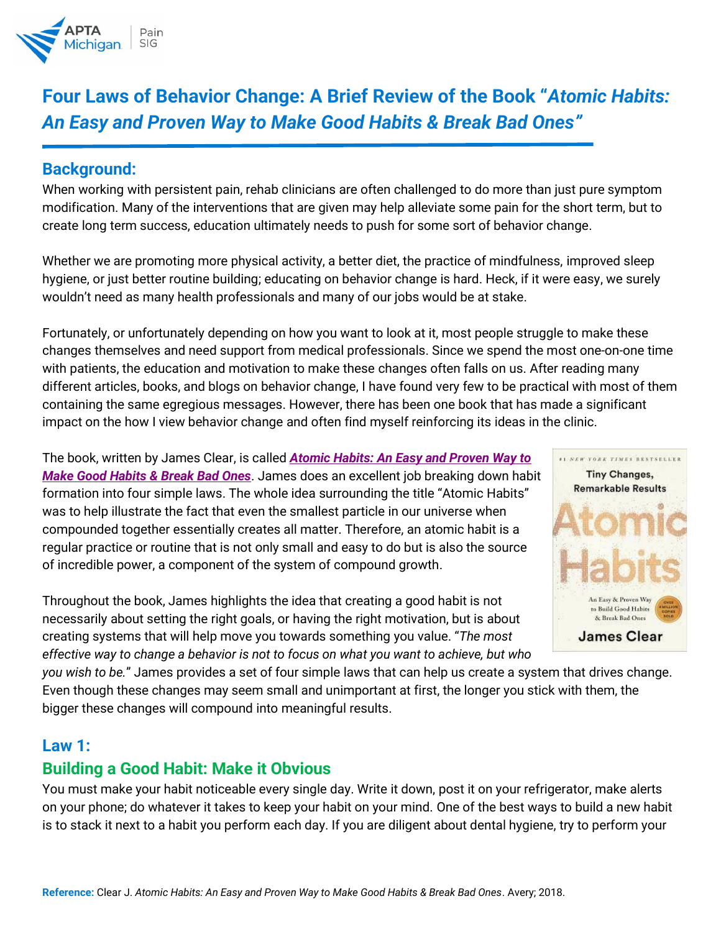

# **Four Laws of Behavior Change: A Brief Review of the Book "***Atomic Habits: An Easy and Proven Way to Make Good Habits & Break Bad Ones"*

## **Background:**

When working with persistent pain, rehab clinicians are often challenged to do more than just pure symptom modification. Many of the interventions that are given may help alleviate some pain for the short term, but to create long term success, education ultimately needs to push for some sort of behavior change.

Whether we are promoting more physical activity, a better diet, the practice of mindfulness, improved sleep hygiene, or just better routine building; educating on behavior change is hard. Heck, if it were easy, we surely wouldn't need as many health professionals and many of our jobs would be at stake.

Fortunately, or unfortunately depending on how you want to look at it, most people struggle to make these changes themselves and need support from medical professionals. Since we spend the most one-on-one time with patients, the education and motivation to make these changes often falls on us. After reading many different articles, books, and blogs on behavior change, I have found very few to be practical with most of them containing the same egregious messages. However, there has been one book that has made a significant impact on the how I view behavior change and often find myself reinforcing its ideas in the clinic.

The book, written by James Clear, is called *[Atomic Habits: An Easy and Proven Way to](https://www.amazon.com/Atomic-Habits-Proven-Build-Break/dp/0735211299)  [Make Good Habits & Break Bad Ones](https://www.amazon.com/Atomic-Habits-Proven-Build-Break/dp/0735211299)*. James does an excellent job breaking down habit formation into four simple laws. The whole idea surrounding the title "Atomic Habits" was to help illustrate the fact that even the smallest particle in our universe when compounded together essentially creates all matter. Therefore, an atomic habit is a regular practice or routine that is not only small and easy to do but is also the source of incredible power, a component of the system of compound growth.

Throughout the book, James highlights the idea that creating a good habit is not necessarily about setting the right goals, or having the right motivation, but is about creating systems that will help move you towards something you value. "*The most effective way to change a behavior is not to focus on what you want to achieve, but who* 



*you wish to be.*" James provides a set of four simple laws that can help us create a system that drives change. Even though these changes may seem small and unimportant at first, the longer you stick with them, the bigger these changes will compound into meaningful results.

#### **Law 1:**

## **Building a Good Habit: Make it Obvious**

You must make your habit noticeable every single day. Write it down, post it on your refrigerator, make alerts on your phone; do whatever it takes to keep your habit on your mind. One of the best ways to build a new habit is to stack it next to a habit you perform each day. If you are diligent about dental hygiene, try to perform your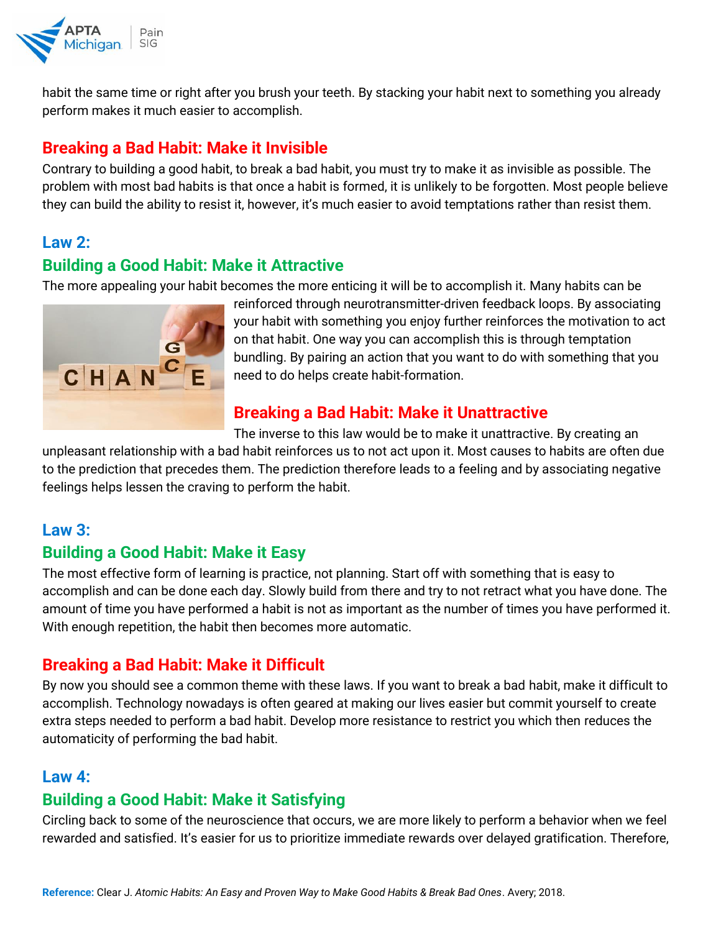

habit the same time or right after you brush your teeth. By stacking your habit next to something you already perform makes it much easier to accomplish.

# **Breaking a Bad Habit: Make it Invisible**

Contrary to building a good habit, to break a bad habit, you must try to make it as invisible as possible. The problem with most bad habits is that once a habit is formed, it is unlikely to be forgotten. Most people believe they can build the ability to resist it, however, it's much easier to avoid temptations rather than resist them.

## **Law 2:**

# **Building a Good Habit: Make it Attractive**

The more appealing your habit becomes the more enticing it will be to accomplish it. Many habits can be



reinforced through neurotransmitter-driven feedback loops. By associating your habit with something you enjoy further reinforces the motivation to act on that habit. One way you can accomplish this is through temptation bundling. By pairing an action that you want to do with something that you need to do helps create habit-formation.

# **Breaking a Bad Habit: Make it Unattractive**

The inverse to this law would be to make it unattractive. By creating an

unpleasant relationship with a bad habit reinforces us to not act upon it. Most causes to habits are often due to the prediction that precedes them. The prediction therefore leads to a feeling and by associating negative feelings helps lessen the craving to perform the habit.

## **Law 3:**

# **Building a Good Habit: Make it Easy**

The most effective form of learning is practice, not planning. Start off with something that is easy to accomplish and can be done each day. Slowly build from there and try to not retract what you have done. The amount of time you have performed a habit is not as important as the number of times you have performed it. With enough repetition, the habit then becomes more automatic.

# **Breaking a Bad Habit: Make it Difficult**

By now you should see a common theme with these laws. If you want to break a bad habit, make it difficult to accomplish. Technology nowadays is often geared at making our lives easier but commit yourself to create extra steps needed to perform a bad habit. Develop more resistance to restrict you which then reduces the automaticity of performing the bad habit.

## **Law 4:**

## **Building a Good Habit: Make it Satisfying**

Circling back to some of the neuroscience that occurs, we are more likely to perform a behavior when we feel rewarded and satisfied. It's easier for us to prioritize immediate rewards over delayed gratification. Therefore,